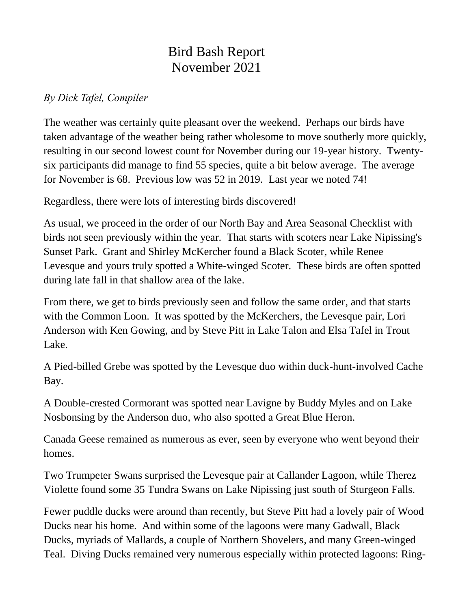## Bird Bash Report November 2021

## *By Dick Tafel, Compiler*

The weather was certainly quite pleasant over the weekend. Perhaps our birds have taken advantage of the weather being rather wholesome to move southerly more quickly, resulting in our second lowest count for November during our 19-year history. Twentysix participants did manage to find 55 species, quite a bit below average. The average for November is 68. Previous low was 52 in 2019. Last year we noted 74!

Regardless, there were lots of interesting birds discovered!

As usual, we proceed in the order of our North Bay and Area Seasonal Checklist with birds not seen previously within the year. That starts with scoters near Lake Nipissing's Sunset Park. Grant and Shirley McKercher found a Black Scoter, while Renee Levesque and yours truly spotted a White-winged Scoter. These birds are often spotted during late fall in that shallow area of the lake.

From there, we get to birds previously seen and follow the same order, and that starts with the Common Loon. It was spotted by the McKerchers, the Levesque pair, Lori Anderson with Ken Gowing, and by Steve Pitt in Lake Talon and Elsa Tafel in Trout Lake.

A Pied-billed Grebe was spotted by the Levesque duo within duck-hunt-involved Cache Bay.

A Double-crested Cormorant was spotted near Lavigne by Buddy Myles and on Lake Nosbonsing by the Anderson duo, who also spotted a Great Blue Heron.

Canada Geese remained as numerous as ever, seen by everyone who went beyond their homes.

Two Trumpeter Swans surprised the Levesque pair at Callander Lagoon, while Therez Violette found some 35 Tundra Swans on Lake Nipissing just south of Sturgeon Falls.

Fewer puddle ducks were around than recently, but Steve Pitt had a lovely pair of Wood Ducks near his home. And within some of the lagoons were many Gadwall, Black Ducks, myriads of Mallards, a couple of Northern Shovelers, and many Green-winged Teal. Diving Ducks remained very numerous especially within protected lagoons: Ring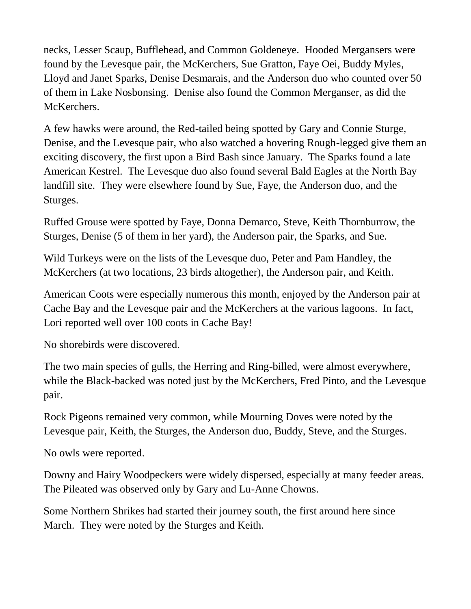necks, Lesser Scaup, Bufflehead, and Common Goldeneye. Hooded Mergansers were found by the Levesque pair, the McKerchers, Sue Gratton, Faye Oei, Buddy Myles, Lloyd and Janet Sparks, Denise Desmarais, and the Anderson duo who counted over 50 of them in Lake Nosbonsing. Denise also found the Common Merganser, as did the McKerchers.

A few hawks were around, the Red-tailed being spotted by Gary and Connie Sturge, Denise, and the Levesque pair, who also watched a hovering Rough-legged give them an exciting discovery, the first upon a Bird Bash since January. The Sparks found a late American Kestrel. The Levesque duo also found several Bald Eagles at the North Bay landfill site. They were elsewhere found by Sue, Faye, the Anderson duo, and the Sturges.

Ruffed Grouse were spotted by Faye, Donna Demarco, Steve, Keith Thornburrow, the Sturges, Denise (5 of them in her yard), the Anderson pair, the Sparks, and Sue.

Wild Turkeys were on the lists of the Levesque duo, Peter and Pam Handley, the McKerchers (at two locations, 23 birds altogether), the Anderson pair, and Keith.

American Coots were especially numerous this month, enjoyed by the Anderson pair at Cache Bay and the Levesque pair and the McKerchers at the various lagoons. In fact, Lori reported well over 100 coots in Cache Bay!

No shorebirds were discovered.

The two main species of gulls, the Herring and Ring-billed, were almost everywhere, while the Black-backed was noted just by the McKerchers, Fred Pinto, and the Levesque pair.

Rock Pigeons remained very common, while Mourning Doves were noted by the Levesque pair, Keith, the Sturges, the Anderson duo, Buddy, Steve, and the Sturges.

No owls were reported.

Downy and Hairy Woodpeckers were widely dispersed, especially at many feeder areas. The Pileated was observed only by Gary and Lu-Anne Chowns.

Some Northern Shrikes had started their journey south, the first around here since March. They were noted by the Sturges and Keith.